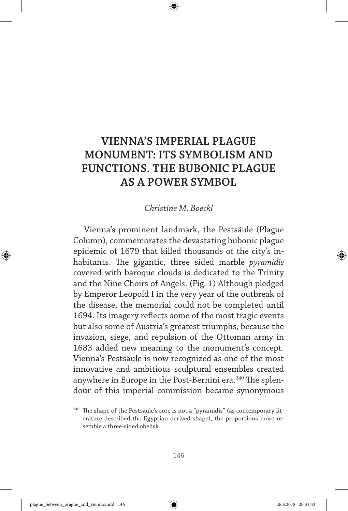## **VIENNA'S IMPERIAL PLAGUE MONUMENT: ITS SYMBOLISM AND FUNCTIONS. THE BUBONIC PLAGUE AS A POWER SYMBOL**

## *Christine M. Boeckl*

Vienna's prominent landmark, the Pestsäule (Plague Column), commemorates the devastating bubonic plague epidemic of 1679 that killed thousands of the city's inhabitants. The gigantic, three sided marble *pyramidis* covered with baroque clouds is dedicated to the Trinity and the Nine Choirs of Angels. (Fig. 1) Although pledged by Emperor Leopold I in the very year of the outbreak of the disease, the memorial could not be completed until 1694. Its imagery reflects some of the most tragic events but also some of Austria's greatest triumphs, because the invasion, siege, and repulsion of the Ottoman army in 1683 added new meaning to the monument's concept. Vienna's Pestsäule is now recognized as one of the most innovative and ambitious sculptural ensembles created anywhere in Europe in the Post-Bernini era.<sup>240</sup> The splendour of this imperial commission became synonymous

<sup>&</sup>lt;sup>240</sup> The shape of the Pestsäule's core is not a "pyramidis" (as contemporary literature described the Egyptian derived shape), the proportions more resemble a three-sided obelisk.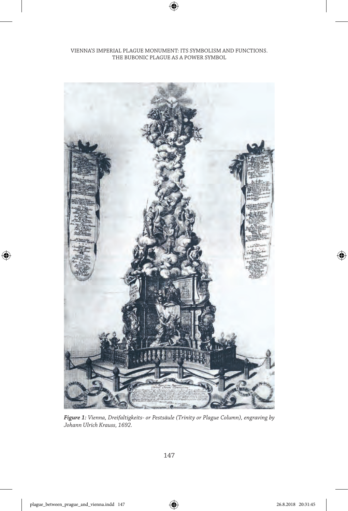VIENNA'S IMPERIAL PLAGUE MONUMENT: ITS SYMBOLISM AND FUNCTIONS. THE BUBONIC PLAGUE AS A POWER SYMBOL



*Figure 1: Vienna, Dreifaltigkeits- or Pestsäule (Trinity or Plague Column), engraving by Johann Ulrich Krauss, 1692.*